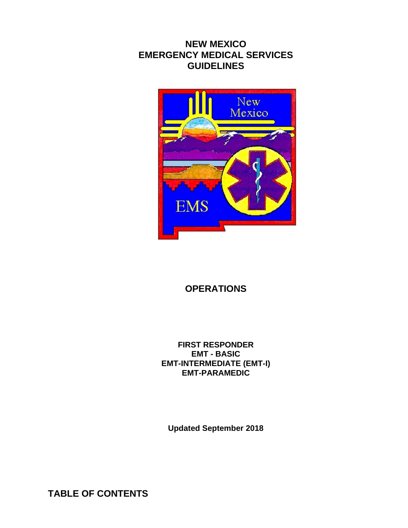# **NEW MEXICO EMERGENCY MEDICAL SERVICES GUIDELINES**



# **OPERATIONS**

## **FIRST RESPONDER EMT - BASIC EMT-INTERMEDIATE (EMT-I) EMT-PARAMEDIC**

**Updated September 2018** 

**TABLE OF CONTENTS**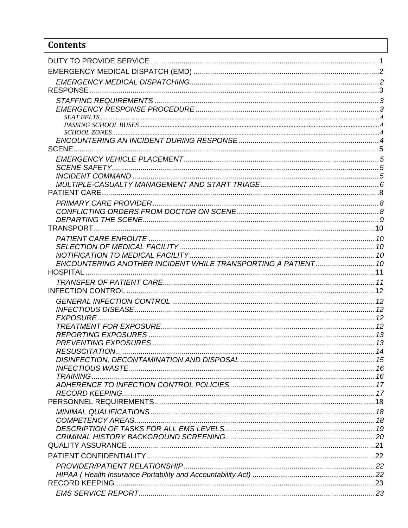# **Contents**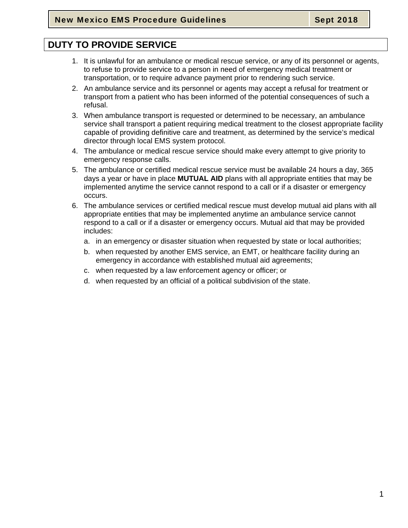# **DUTY TO PROVIDE SERVICE**

- 1. It is unlawful for an ambulance or medical rescue service, or any of its personnel or agents, to refuse to provide service to a person in need of emergency medical treatment or transportation, or to require advance payment prior to rendering such service.
- 2. An ambulance service and its personnel or agents may accept a refusal for treatment or transport from a patient who has been informed of the potential consequences of such a refusal.
- 3. When ambulance transport is requested or determined to be necessary, an ambulance service shall transport a patient requiring medical treatment to the closest appropriate facility capable of providing definitive care and treatment, as determined by the service's medical director through local EMS system protocol.
- 4. The ambulance or medical rescue service should make every attempt to give priority to emergency response calls.
- 5. The ambulance or certified medical rescue service must be available 24 hours a day, 365 days a year or have in place **MUTUAL AID** plans with all appropriate entities that may be implemented anytime the service cannot respond to a call or if a disaster or emergency occurs.
- 6. The ambulance services or certified medical rescue must develop mutual aid plans with all appropriate entities that may be implemented anytime an ambulance service cannot respond to a call or if a disaster or emergency occurs. Mutual aid that may be provided includes:
	- a. in an emergency or disaster situation when requested by state or local authorities;
	- b. when requested by another EMS service, an EMT, or healthcare facility during an emergency in accordance with established mutual aid agreements;
	- c. when requested by a law enforcement agency or officer; or
	- d. when requested by an official of a political subdivision of the state.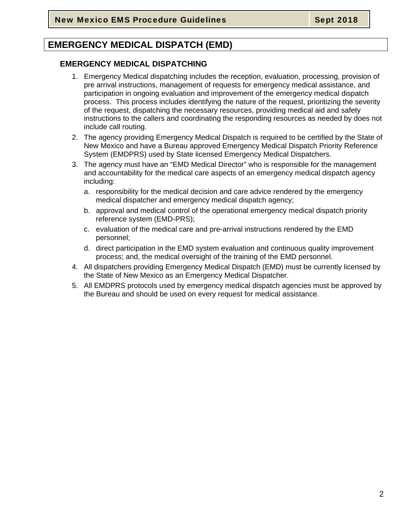## **EMERGENCY MEDICAL DISPATCH (EMD)**

#### **EMERGENCY MEDICAL DISPATCHING**

- 1. Emergency Medical dispatching includes the reception, evaluation, processing, provision of pre arrival instructions, management of requests for emergency medical assistance, and participation in ongoing evaluation and improvement of the emergency medical dispatch process. This process includes identifying the nature of the request, prioritizing the severity of the request, dispatching the necessary resources, providing medical aid and safety instructions to the callers and coordinating the responding resources as needed by does not include call routing.
- 2. The agency providing Emergency Medical Dispatch is required to be certified by the State of New Mexico and have a Bureau approved Emergency Medical Dispatch Priority Reference System (EMDPRS) used by State licensed Emergency Medical Dispatchers.
- 3. The agency must have an "EMD Medical Director" who is responsible for the management and accountability for the medical care aspects of an emergency medical dispatch agency including:
	- a. responsibility for the medical decision and care advice rendered by the emergency medical dispatcher and emergency medical dispatch agency;
	- b. approval and medical control of the operational emergency medical dispatch priority reference system (EMD-PRS);
	- c. evaluation of the medical care and pre-arrival instructions rendered by the EMD personnel;
	- d. direct participation in the EMD system evaluation and continuous quality improvement process; and, the medical oversight of the training of the EMD personnel.
- 4. All dispatchers providing Emergency Medical Dispatch (EMD) must be currently licensed by the State of New Mexico as an Emergency Medical Dispatcher.
- 5. All EMDPRS protocols used by emergency medical dispatch agencies must be approved by the Bureau and should be used on every request for medical assistance.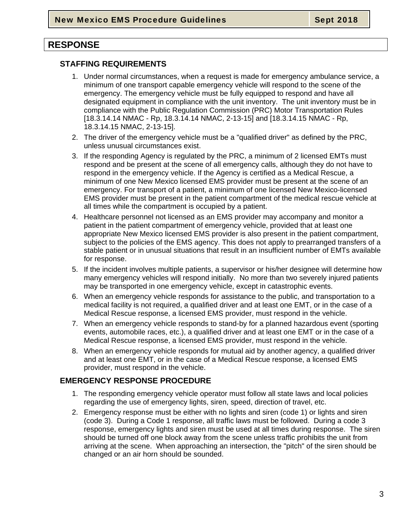## **RESPONSE**

## **STAFFING REQUIREMENTS**

- 1. Under normal circumstances, when a request is made for emergency ambulance service, a minimum of one transport capable emergency vehicle will respond to the scene of the emergency. The emergency vehicle must be fully equipped to respond and have all designated equipment in compliance with the unit inventory. The unit inventory must be in compliance with the Public Regulation Commission (PRC) Motor Transportation Rules [18.3.14.14 NMAC - Rp, 18.3.14.14 NMAC, 2-13-15] and [18.3.14.15 NMAC - Rp, 18.3.14.15 NMAC, 2-13-15].
- 2. The driver of the emergency vehicle must be a "qualified driver" as defined by the PRC, unless unusual circumstances exist.
- 3. If the responding Agency is regulated by the PRC, a minimum of 2 licensed EMTs must respond and be present at the scene of all emergency calls, although they do not have to respond in the emergency vehicle. If the Agency is certified as a Medical Rescue, a minimum of one New Mexico licensed EMS provider must be present at the scene of an emergency. For transport of a patient, a minimum of one licensed New Mexico-licensed EMS provider must be present in the patient compartment of the medical rescue vehicle at all times while the compartment is occupied by a patient.
- 4. Healthcare personnel not licensed as an EMS provider may accompany and monitor a patient in the patient compartment of emergency vehicle, provided that at least one appropriate New Mexico licensed EMS provider is also present in the patient compartment, subject to the policies of the EMS agency. This does not apply to prearranged transfers of a stable patient or in unusual situations that result in an insufficient number of EMTs available for response.
- 5. If the incident involves multiple patients, a supervisor or his/her designee will determine how many emergency vehicles will respond initially. No more than two severely injured patients may be transported in one emergency vehicle, except in catastrophic events.
- 6. When an emergency vehicle responds for assistance to the public, and transportation to a medical facility is not required, a qualified driver and at least one EMT, or in the case of a Medical Rescue response, a licensed EMS provider, must respond in the vehicle.
- 7. When an emergency vehicle responds to stand-by for a planned hazardous event (sporting events, automobile races, etc.), a qualified driver and at least one EMT or in the case of a Medical Rescue response, a licensed EMS provider, must respond in the vehicle.
- 8. When an emergency vehicle responds for mutual aid by another agency, a qualified driver and at least one EMT, or in the case of a Medical Rescue response, a licensed EMS provider, must respond in the vehicle.

### **EMERGENCY RESPONSE PROCEDURE**

- 1. The responding emergency vehicle operator must follow all state laws and local policies regarding the use of emergency lights, siren, speed, direction of travel, etc.
- 2. Emergency response must be either with no lights and siren (code 1) or lights and siren (code 3). During a Code 1 response, all traffic laws must be followed. During a code 3 response, emergency lights and siren must be used at all times during response. The siren should be turned off one block away from the scene unless traffic prohibits the unit from arriving at the scene. When approaching an intersection, the "pitch" of the siren should be changed or an air horn should be sounded.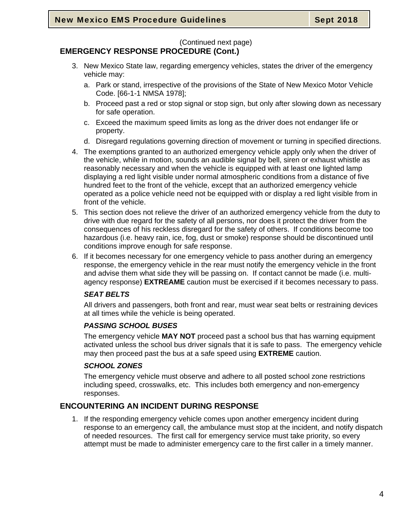## (Continued next page)

## **EMERGENCY RESPONSE PROCEDURE (Cont.)**

- 3. New Mexico State law, regarding emergency vehicles, states the driver of the emergency vehicle may:
	- a. Park or stand, irrespective of the provisions of the State of New Mexico Motor Vehicle Code. [66-1-1 NMSA 1978];
	- b. Proceed past a red or stop signal or stop sign, but only after slowing down as necessary for safe operation.
	- c. Exceed the maximum speed limits as long as the driver does not endanger life or property.
	- d. Disregard regulations governing direction of movement or turning in specified directions.
- 4. The exemptions granted to an authorized emergency vehicle apply only when the driver of the vehicle, while in motion, sounds an audible signal by bell, siren or exhaust whistle as reasonably necessary and when the vehicle is equipped with at least one lighted lamp displaying a red light visible under normal atmospheric conditions from a distance of five hundred feet to the front of the vehicle, except that an authorized emergency vehicle operated as a police vehicle need not be equipped with or display a red light visible from in front of the vehicle.
- 5. This section does not relieve the driver of an authorized emergency vehicle from the duty to drive with due regard for the safety of all persons, nor does it protect the driver from the consequences of his reckless disregard for the safety of others. If conditions become too hazardous (i.e. heavy rain, ice, fog, dust or smoke) response should be discontinued until conditions improve enough for safe response.
- 6. If it becomes necessary for one emergency vehicle to pass another during an emergency response, the emergency vehicle in the rear must notify the emergency vehicle in the front and advise them what side they will be passing on. If contact cannot be made (i.e. multiagency response) **EXTREAME** caution must be exercised if it becomes necessary to pass.

#### *SEAT BELTS*

All drivers and passengers, both front and rear, must wear seat belts or restraining devices at all times while the vehicle is being operated.

#### *PASSING SCHOOL BUSES*

The emergency vehicle **MAY NOT** proceed past a school bus that has warning equipment activated unless the school bus driver signals that it is safe to pass. The emergency vehicle may then proceed past the bus at a safe speed using **EXTREME** caution.

#### *SCHOOL ZONES*

The emergency vehicle must observe and adhere to all posted school zone restrictions including speed, crosswalks, etc. This includes both emergency and non-emergency responses.

### **ENCOUNTERING AN INCIDENT DURING RESPONSE**

1. If the responding emergency vehicle comes upon another emergency incident during response to an emergency call, the ambulance must stop at the incident, and notify dispatch of needed resources. The first call for emergency service must take priority, so every attempt must be made to administer emergency care to the first caller in a timely manner.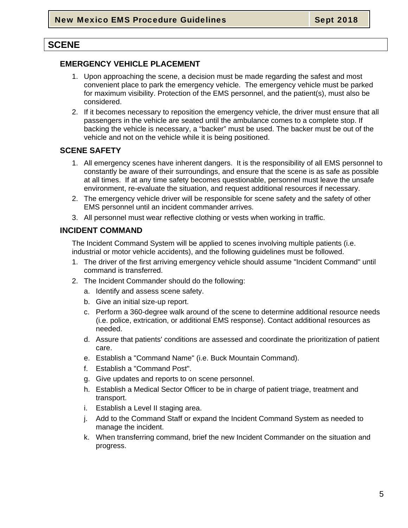## **SCENE**

### **EMERGENCY VEHICLE PLACEMENT**

- 1. Upon approaching the scene, a decision must be made regarding the safest and most convenient place to park the emergency vehicle. The emergency vehicle must be parked for maximum visibility. Protection of the EMS personnel, and the patient(s), must also be considered.
- 2. If it becomes necessary to reposition the emergency vehicle, the driver must ensure that all passengers in the vehicle are seated until the ambulance comes to a complete stop. If backing the vehicle is necessary, a "backer" must be used. The backer must be out of the vehicle and not on the vehicle while it is being positioned.

### **SCENE SAFETY**

- 1. All emergency scenes have inherent dangers. It is the responsibility of all EMS personnel to constantly be aware of their surroundings, and ensure that the scene is as safe as possible at all times. If at any time safety becomes questionable, personnel must leave the unsafe environment, re-evaluate the situation, and request additional resources if necessary.
- 2. The emergency vehicle driver will be responsible for scene safety and the safety of other EMS personnel until an incident commander arrives.
- 3. All personnel must wear reflective clothing or vests when working in traffic.

### **INCIDENT COMMAND**

The Incident Command System will be applied to scenes involving multiple patients (i.e. industrial or motor vehicle accidents), and the following guidelines must be followed.

- 1. The driver of the first arriving emergency vehicle should assume "Incident Command" until command is transferred.
- 2. The Incident Commander should do the following:
	- a. Identify and assess scene safety.
	- b. Give an initial size-up report.
	- c. Perform a 360-degree walk around of the scene to determine additional resource needs (i.e. police, extrication, or additional EMS response). Contact additional resources as needed.
	- d. Assure that patients' conditions are assessed and coordinate the prioritization of patient care.
	- e. Establish a "Command Name" (i.e. Buck Mountain Command).
	- f. Establish a "Command Post".
	- g. Give updates and reports to on scene personnel.
	- h. Establish a Medical Sector Officer to be in charge of patient triage, treatment and transport.
	- i. Establish a Level II staging area.
	- j. Add to the Command Staff or expand the Incident Command System as needed to manage the incident.
	- k. When transferring command, brief the new Incident Commander on the situation and progress.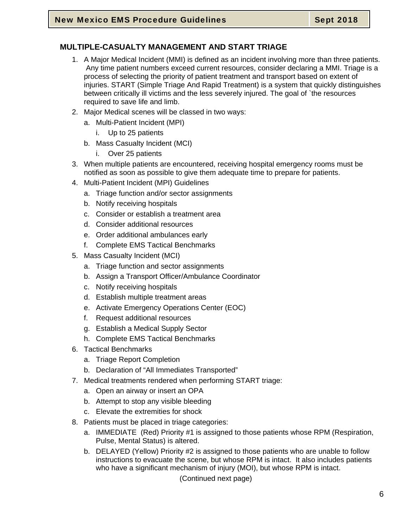## **MULTIPLE-CASUALTY MANAGEMENT AND START TRIAGE**

- 1. A Major Medical Incident (MMI) is defined as an incident involving more than three patients. Any time patient numbers exceed current resources, consider declaring a MMI. Triage is a process of selecting the priority of patient treatment and transport based on extent of injuries. START (Simple Triage And Rapid Treatment) is a system that quickly distinguishes between critically ill victims and the less severely injured. The goal of `the resources required to save life and limb.
- 2. Major Medical scenes will be classed in two ways:
	- a. Multi-Patient Incident (MPI)
		- i. Up to 25 patients
	- b. Mass Casualty Incident (MCI)
		- i. Over 25 patients
- 3. When multiple patients are encountered, receiving hospital emergency rooms must be notified as soon as possible to give them adequate time to prepare for patients.
- 4. Multi-Patient Incident (MPI) Guidelines
	- a. Triage function and/or sector assignments
	- b. Notify receiving hospitals
	- c. Consider or establish a treatment area
	- d. Consider additional resources
	- e. Order additional ambulances early
	- f. Complete EMS Tactical Benchmarks
- 5. Mass Casualty Incident (MCI)
	- a. Triage function and sector assignments
	- b. Assign a Transport Officer/Ambulance Coordinator
	- c. Notify receiving hospitals
	- d. Establish multiple treatment areas
	- e. Activate Emergency Operations Center (EOC)
	- f. Request additional resources
	- g. Establish a Medical Supply Sector
	- h. Complete EMS Tactical Benchmarks
- 6. Tactical Benchmarks
	- a. Triage Report Completion
	- b. Declaration of "All Immediates Transported"
- 7. Medical treatments rendered when performing START triage:
	- a. Open an airway or insert an OPA
	- b. Attempt to stop any visible bleeding
	- c. Elevate the extremities for shock
- 8. Patients must be placed in triage categories:
	- a. IMMEDIATE (Red) Priority #1 is assigned to those patients whose RPM (Respiration, Pulse, Mental Status) is altered.
	- b. DELAYED (Yellow) Priority #2 is assigned to those patients who are unable to follow instructions to evacuate the scene, but whose RPM is intact. It also includes patients who have a significant mechanism of injury (MOI), but whose RPM is intact.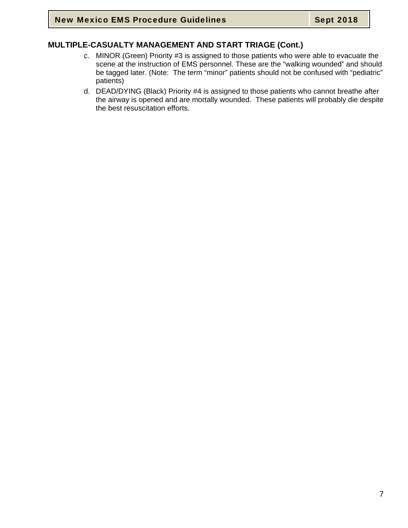## **MULTIPLE-CASUALTY MANAGEMENT AND START TRIAGE (Cont.)**

- c. MINOR (Green) Priority #3 is assigned to those patients who were able to evacuate the scene at the instruction of EMS personnel. These are the "walking wounded" and should be tagged later. (Note: The term "minor" patients should not be confused with "pediatric" patients)
- d. DEAD/DYING (Black) Priority #4 is assigned to those patients who cannot breathe after the airway is opened and are mortally wounded. These patients will probably die despite the best resuscitation efforts.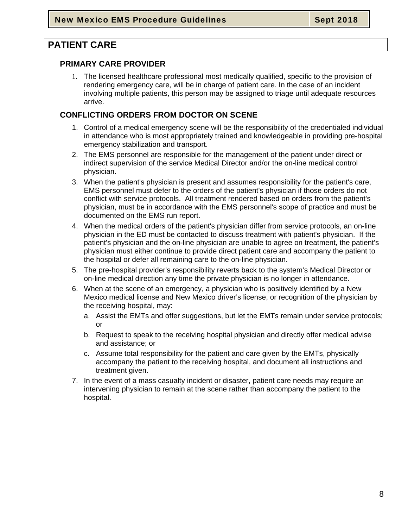# **PATIENT CARE**

#### **PRIMARY CARE PROVIDER**

1. The licensed healthcare professional most medically qualified, specific to the provision of rendering emergency care, will be in charge of patient care. In the case of an incident involving multiple patients, this person may be assigned to triage until adequate resources arrive.

### **CONFLICTING ORDERS FROM DOCTOR ON SCENE**

- 1. Control of a medical emergency scene will be the responsibility of the credentialed individual in attendance who is most appropriately trained and knowledgeable in providing pre-hospital emergency stabilization and transport.
- 2. The EMS personnel are responsible for the management of the patient under direct or indirect supervision of the service Medical Director and/or the on-line medical control physician.
- 3. When the patient's physician is present and assumes responsibility for the patient's care, EMS personnel must defer to the orders of the patient's physician if those orders do not conflict with service protocols. All treatment rendered based on orders from the patient's physician, must be in accordance with the EMS personnel's scope of practice and must be documented on the EMS run report.
- 4. When the medical orders of the patient's physician differ from service protocols, an on-line physician in the ED must be contacted to discuss treatment with patient's physician. If the patient's physician and the on-line physician are unable to agree on treatment, the patient's physician must either continue to provide direct patient care and accompany the patient to the hospital or defer all remaining care to the on-line physician.
- 5. The pre-hospital provider's responsibility reverts back to the system's Medical Director or on-line medical direction any time the private physician is no longer in attendance.
- 6. When at the scene of an emergency, a physician who is positively identified by a New Mexico medical license and New Mexico driver's license, or recognition of the physician by the receiving hospital, may:
	- a. Assist the EMTs and offer suggestions, but let the EMTs remain under service protocols; or
	- b. Request to speak to the receiving hospital physician and directly offer medical advise and assistance; or
	- c. Assume total responsibility for the patient and care given by the EMTs, physically accompany the patient to the receiving hospital, and document all instructions and treatment given.
- 7. In the event of a mass casualty incident or disaster, patient care needs may require an intervening physician to remain at the scene rather than accompany the patient to the hospital.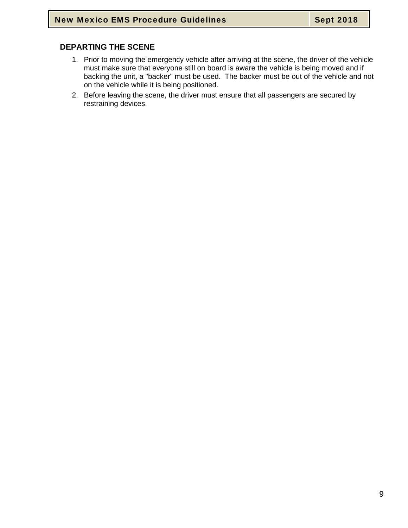## **DEPARTING THE SCENE**

- 1. Prior to moving the emergency vehicle after arriving at the scene, the driver of the vehicle must make sure that everyone still on board is aware the vehicle is being moved and if backing the unit, a "backer" must be used. The backer must be out of the vehicle and not on the vehicle while it is being positioned.
- 2. Before leaving the scene, the driver must ensure that all passengers are secured by restraining devices.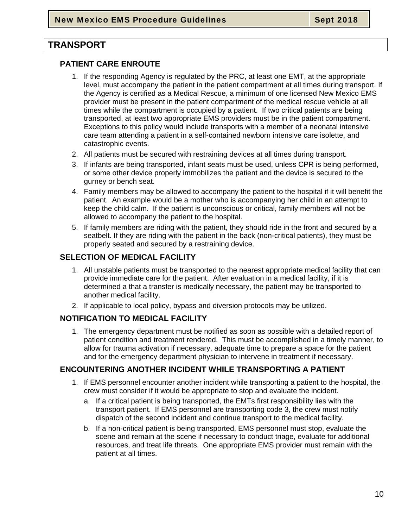## **TRANSPORT**

## **PATIENT CARE ENROUTE**

- 1. If the responding Agency is regulated by the PRC, at least one EMT, at the appropriate level, must accompany the patient in the patient compartment at all times during transport. If the Agency is certified as a Medical Rescue, a minimum of one licensed New Mexico EMS provider must be present in the patient compartment of the medical rescue vehicle at all times while the compartment is occupied by a patient. If two critical patients are being transported, at least two appropriate EMS providers must be in the patient compartment. Exceptions to this policy would include transports with a member of a neonatal intensive care team attending a patient in a self-contained newborn intensive care isolette, and catastrophic events.
- 2. All patients must be secured with restraining devices at all times during transport.
- 3. If infants are being transported, infant seats must be used, unless CPR is being performed, or some other device properly immobilizes the patient and the device is secured to the gurney or bench seat.
- 4. Family members may be allowed to accompany the patient to the hospital if it will benefit the patient. An example would be a mother who is accompanying her child in an attempt to keep the child calm. If the patient is unconscious or critical, family members will not be allowed to accompany the patient to the hospital.
- 5. If family members are riding with the patient, they should ride in the front and secured by a seatbelt. If they are riding with the patient in the back (non-critical patients), they must be properly seated and secured by a restraining device.

## **SELECTION OF MEDICAL FACILITY**

- 1. All unstable patients must be transported to the nearest appropriate medical facility that can provide immediate care for the patient. After evaluation in a medical facility, if it is determined a that a transfer is medically necessary, the patient may be transported to another medical facility.
- 2. If applicable to local policy, bypass and diversion protocols may be utilized.

### **NOTIFICATION TO MEDICAL FACILITY**

1. The emergency department must be notified as soon as possible with a detailed report of patient condition and treatment rendered. This must be accomplished in a timely manner, to allow for trauma activation if necessary, adequate time to prepare a space for the patient and for the emergency department physician to intervene in treatment if necessary.

### **ENCOUNTERING ANOTHER INCIDENT WHILE TRANSPORTING A PATIENT**

- 1. If EMS personnel encounter another incident while transporting a patient to the hospital, the crew must consider if it would be appropriate to stop and evaluate the incident.
	- a. If a critical patient is being transported, the EMTs first responsibility lies with the transport patient. If EMS personnel are transporting code 3, the crew must notify dispatch of the second incident and continue transport to the medical facility.
	- b. If a non-critical patient is being transported, EMS personnel must stop, evaluate the scene and remain at the scene if necessary to conduct triage, evaluate for additional resources, and treat life threats. One appropriate EMS provider must remain with the patient at all times.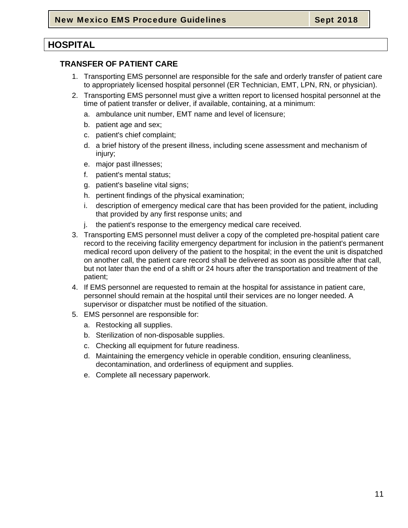## **HOSPITAL**

## **TRANSFER OF PATIENT CARE**

- 1. Transporting EMS personnel are responsible for the safe and orderly transfer of patient care to appropriately licensed hospital personnel (ER Technician, EMT, LPN, RN, or physician).
- 2. Transporting EMS personnel must give a written report to licensed hospital personnel at the time of patient transfer or deliver, if available, containing, at a minimum:
	- a. ambulance unit number, EMT name and level of licensure;
	- b. patient age and sex;
	- c. patient's chief complaint;
	- d. a brief history of the present illness, including scene assessment and mechanism of injury;
	- e. major past illnesses;
	- f. patient's mental status;
	- g. patient's baseline vital signs;
	- h. pertinent findings of the physical examination;
	- i. description of emergency medical care that has been provided for the patient, including that provided by any first response units; and
	- j. the patient's response to the emergency medical care received.
- 3. Transporting EMS personnel must deliver a copy of the completed pre-hospital patient care record to the receiving facility emergency department for inclusion in the patient's permanent medical record upon delivery of the patient to the hospital; in the event the unit is dispatched on another call, the patient care record shall be delivered as soon as possible after that call, but not later than the end of a shift or 24 hours after the transportation and treatment of the patient;
- 4. If EMS personnel are requested to remain at the hospital for assistance in patient care, personnel should remain at the hospital until their services are no longer needed. A supervisor or dispatcher must be notified of the situation.
- 5. EMS personnel are responsible for:
	- a. Restocking all supplies.
	- b. Sterilization of non-disposable supplies.
	- c. Checking all equipment for future readiness.
	- d. Maintaining the emergency vehicle in operable condition, ensuring cleanliness, decontamination, and orderliness of equipment and supplies.
	- e. Complete all necessary paperwork.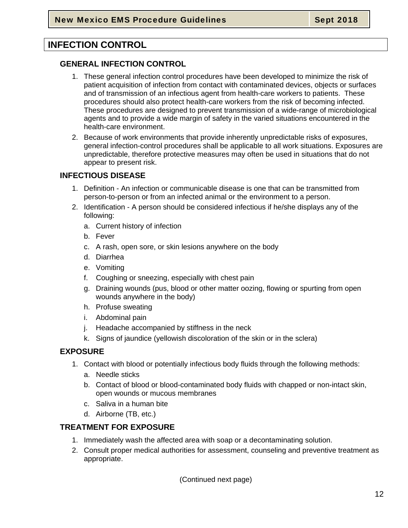# **INFECTION CONTROL**

## **GENERAL INFECTION CONTROL**

- 1. These general infection control procedures have been developed to minimize the risk of patient acquisition of infection from contact with contaminated devices, objects or surfaces and of transmission of an infectious agent from health-care workers to patients. These procedures should also protect health-care workers from the risk of becoming infected. These procedures are designed to prevent transmission of a wide-range of microbiological agents and to provide a wide margin of safety in the varied situations encountered in the health-care environment.
- 2. Because of work environments that provide inherently unpredictable risks of exposures, general infection-control procedures shall be applicable to all work situations. Exposures are unpredictable, therefore protective measures may often be used in situations that do not appear to present risk.

## **INFECTIOUS DISEASE**

- 1. Definition An infection or communicable disease is one that can be transmitted from person-to-person or from an infected animal or the environment to a person.
- 2. Identification A person should be considered infectious if he/she displays any of the following:
	- a. Current history of infection
	- b. Fever
	- c. A rash, open sore, or skin lesions anywhere on the body
	- d. Diarrhea
	- e. Vomiting
	- f. Coughing or sneezing, especially with chest pain
	- g. Draining wounds (pus, blood or other matter oozing, flowing or spurting from open wounds anywhere in the body)
	- h. Profuse sweating
	- i. Abdominal pain
	- j. Headache accompanied by stiffness in the neck
	- k. Signs of jaundice (yellowish discoloration of the skin or in the sclera)

## **EXPOSURE**

- 1. Contact with blood or potentially infectious body fluids through the following methods:
	- a. Needle sticks
	- b. Contact of blood or blood-contaminated body fluids with chapped or non-intact skin, open wounds or mucous membranes
	- c. Saliva in a human bite
	- d. Airborne (TB, etc.)

## **TREATMENT FOR EXPOSURE**

- 1. Immediately wash the affected area with soap or a decontaminating solution.
- 2. Consult proper medical authorities for assessment, counseling and preventive treatment as appropriate.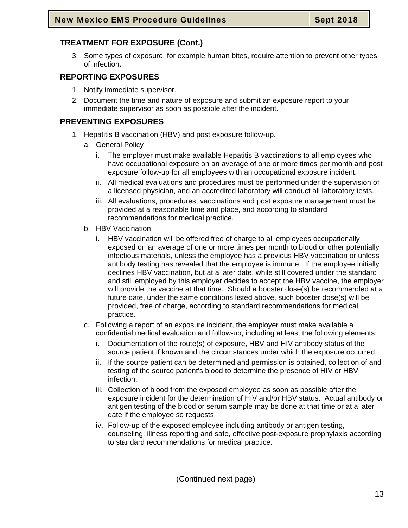## **TREATMENT FOR EXPOSURE (Cont.)**

3. Some types of exposure, for example human bites, require attention to prevent other types of infection.

## **REPORTING EXPOSURES**

- 1. Notify immediate supervisor.
- 2. Document the time and nature of exposure and submit an exposure report to your immediate supervisor as soon as possible after the incident.

## **PREVENTING EXPOSURES**

- 1. Hepatitis B vaccination (HBV) and post exposure follow-up.
	- a. General Policy
		- i. The employer must make available Hepatitis B vaccinations to all employees who have occupational exposure on an average of one or more times per month and post exposure follow-up for all employees with an occupational exposure incident.
		- ii. All medical evaluations and procedures must be performed under the supervision of a licensed physician, and an accredited laboratory will conduct all laboratory tests.
		- iii. All evaluations, procedures, vaccinations and post exposure management must be provided at a reasonable time and place, and according to standard recommendations for medical practice.
	- b. HBV Vaccination
		- i. HBV vaccination will be offered free of charge to all employees occupationally exposed on an average of one or more times per month to blood or other potentially infectious materials, unless the employee has a previous HBV vaccination or unless antibody testing has revealed that the employee is immune. If the employee initially declines HBV vaccination, but at a later date, while still covered under the standard and still employed by this employer decides to accept the HBV vaccine, the employer will provide the vaccine at that time. Should a booster dose(s) be recommended at a future date, under the same conditions listed above, such booster dose(s) will be provided, free of charge, according to standard recommendations for medical practice.
	- c. Following a report of an exposure incident, the employer must make available a confidential medical evaluation and follow-up, including at least the following elements:
		- i. Documentation of the route(s) of exposure, HBV and HIV antibody status of the source patient if known and the circumstances under which the exposure occurred.
		- ii. If the source patient can be determined and permission is obtained, collection of and testing of the source patient's blood to determine the presence of HIV or HBV infection.
		- iii. Collection of blood from the exposed employee as soon as possible after the exposure incident for the determination of HIV and/or HBV status. Actual antibody or antigen testing of the blood or serum sample may be done at that time or at a later date if the employee so requests.
		- iv. Follow-up of the exposed employee including antibody or antigen testing, counseling, illness reporting and safe, effective post-exposure prophylaxis according to standard recommendations for medical practice.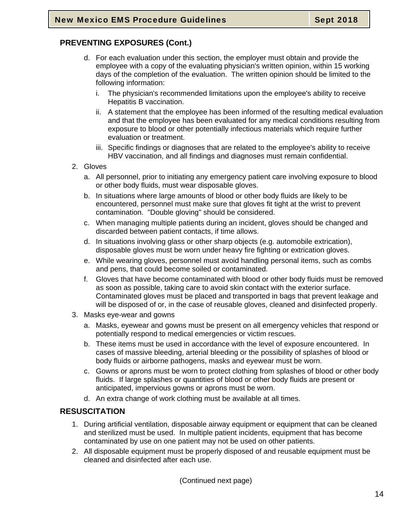## **PREVENTING EXPOSURES (Cont.)**

- d. For each evaluation under this section, the employer must obtain and provide the employee with a copy of the evaluating physician's written opinion, within 15 working days of the completion of the evaluation. The written opinion should be limited to the following information:
	- i. The physician's recommended limitations upon the employee's ability to receive Hepatitis B vaccination.
	- ii. A statement that the employee has been informed of the resulting medical evaluation and that the employee has been evaluated for any medical conditions resulting from exposure to blood or other potentially infectious materials which require further evaluation or treatment.
	- iii. Specific findings or diagnoses that are related to the employee's ability to receive HBV vaccination, and all findings and diagnoses must remain confidential.
- 2. Gloves
	- a. All personnel, prior to initiating any emergency patient care involving exposure to blood or other body fluids, must wear disposable gloves.
	- b. In situations where large amounts of blood or other body fluids are likely to be encountered, personnel must make sure that gloves fit tight at the wrist to prevent contamination. "Double gloving" should be considered.
	- c. When managing multiple patients during an incident, gloves should be changed and discarded between patient contacts, if time allows.
	- d. In situations involving glass or other sharp objects (e.g. automobile extrication), disposable gloves must be worn under heavy fire fighting or extrication gloves.
	- e. While wearing gloves, personnel must avoid handling personal items, such as combs and pens, that could become soiled or contaminated.
	- f. Gloves that have become contaminated with blood or other body fluids must be removed as soon as possible, taking care to avoid skin contact with the exterior surface. Contaminated gloves must be placed and transported in bags that prevent leakage and will be disposed of or, in the case of reusable gloves, cleaned and disinfected properly.
- 3. Masks eye-wear and gowns
	- a. Masks, eyewear and gowns must be present on all emergency vehicles that respond or potentially respond to medical emergencies or victim rescues.
	- b. These items must be used in accordance with the level of exposure encountered. In cases of massive bleeding, arterial bleeding or the possibility of splashes of blood or body fluids or airborne pathogens, masks and eyewear must be worn.
	- c. Gowns or aprons must be worn to protect clothing from splashes of blood or other body fluids. If large splashes or quantities of blood or other body fluids are present or anticipated, impervious gowns or aprons must be worn.
	- d. An extra change of work clothing must be available at all times.

## **RESUSCITATION**

- 1. During artificial ventilation, disposable airway equipment or equipment that can be cleaned and sterilized must be used. In multiple patient incidents, equipment that has become contaminated by use on one patient may not be used on other patients.
- 2. All disposable equipment must be properly disposed of and reusable equipment must be cleaned and disinfected after each use.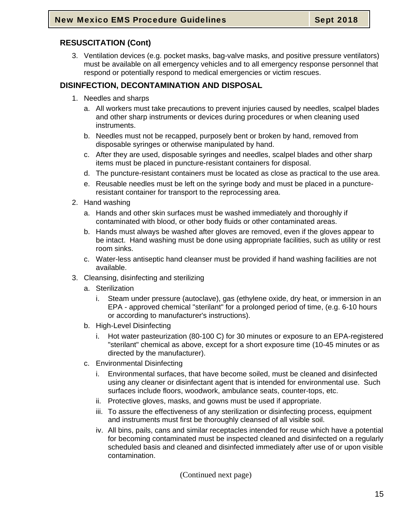### **RESUSCITATION (Cont)**

3. Ventilation devices (e.g. pocket masks, bag-valve masks, and positive pressure ventilators) must be available on all emergency vehicles and to all emergency response personnel that respond or potentially respond to medical emergencies or victim rescues.

## **DISINFECTION, DECONTAMINATION AND DISPOSAL**

- 1. Needles and sharps
	- a. All workers must take precautions to prevent injuries caused by needles, scalpel blades and other sharp instruments or devices during procedures or when cleaning used instruments.
	- b. Needles must not be recapped, purposely bent or broken by hand, removed from disposable syringes or otherwise manipulated by hand.
	- c. After they are used, disposable syringes and needles, scalpel blades and other sharp items must be placed in puncture-resistant containers for disposal.
	- d. The puncture-resistant containers must be located as close as practical to the use area.
	- e. Reusable needles must be left on the syringe body and must be placed in a punctureresistant container for transport to the reprocessing area.
- 2. Hand washing
	- a. Hands and other skin surfaces must be washed immediately and thoroughly if contaminated with blood, or other body fluids or other contaminated areas.
	- b. Hands must always be washed after gloves are removed, even if the gloves appear to be intact. Hand washing must be done using appropriate facilities, such as utility or rest room sinks.
	- c. Water-less antiseptic hand cleanser must be provided if hand washing facilities are not available.
- 3. Cleansing, disinfecting and sterilizing
	- a. Sterilization
		- i. Steam under pressure (autoclave), gas (ethylene oxide, dry heat, or immersion in an EPA - approved chemical "sterilant" for a prolonged period of time, (e.g. 6-10 hours or according to manufacturer's instructions).
	- b. High-Level Disinfecting
		- i. Hot water pasteurization (80-100 C) for 30 minutes or exposure to an EPA-registered "sterilant" chemical as above, except for a short exposure time (10-45 minutes or as directed by the manufacturer).
	- c. Environmental Disinfecting
		- i. Environmental surfaces, that have become soiled, must be cleaned and disinfected using any cleaner or disinfectant agent that is intended for environmental use. Such surfaces include floors, woodwork, ambulance seats, counter-tops, etc.
		- ii. Protective gloves, masks, and gowns must be used if appropriate.
		- iii. To assure the effectiveness of any sterilization or disinfecting process, equipment and instruments must first be thoroughly cleansed of all visible soil.
		- iv. All bins, pails, cans and similar receptacles intended for reuse which have a potential for becoming contaminated must be inspected cleaned and disinfected on a regularly scheduled basis and cleaned and disinfected immediately after use of or upon visible contamination.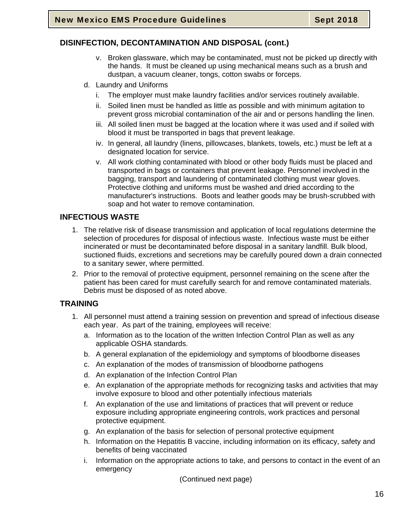### **DISINFECTION, DECONTAMINATION AND DISPOSAL (cont.)**

- v. Broken glassware, which may be contaminated, must not be picked up directly with the hands. It must be cleaned up using mechanical means such as a brush and dustpan, a vacuum cleaner, tongs, cotton swabs or forceps.
- d. Laundry and Uniforms
	- i. The employer must make laundry facilities and/or services routinely available.
	- ii. Soiled linen must be handled as little as possible and with minimum agitation to prevent gross microbial contamination of the air and or persons handling the linen.
	- iii. All soiled linen must be bagged at the location where it was used and if soiled with blood it must be transported in bags that prevent leakage.
	- iv. In general, all laundry (linens, pillowcases, blankets, towels, etc.) must be left at a designated location for service.
	- v. All work clothing contaminated with blood or other body fluids must be placed and transported in bags or containers that prevent leakage. Personnel involved in the bagging, transport and laundering of contaminated clothing must wear gloves. Protective clothing and uniforms must be washed and dried according to the manufacturer's instructions. Boots and leather goods may be brush-scrubbed with soap and hot water to remove contamination.

## **INFECTIOUS WASTE**

- 1. The relative risk of disease transmission and application of local regulations determine the selection of procedures for disposal of infectious waste. Infectious waste must be either incinerated or must be decontaminated before disposal in a sanitary landfill. Bulk blood, suctioned fluids, excretions and secretions may be carefully poured down a drain connected to a sanitary sewer, where permitted.
- 2. Prior to the removal of protective equipment, personnel remaining on the scene after the patient has been cared for must carefully search for and remove contaminated materials. Debris must be disposed of as noted above.

### **TRAINING**

- 1. All personnel must attend a training session on prevention and spread of infectious disease each year. As part of the training, employees will receive:
	- a. Information as to the location of the written Infection Control Plan as well as any applicable OSHA standards.
	- b. A general explanation of the epidemiology and symptoms of bloodborne diseases
	- c. An explanation of the modes of transmission of bloodborne pathogens
	- d. An explanation of the Infection Control Plan
	- e. An explanation of the appropriate methods for recognizing tasks and activities that may involve exposure to blood and other potentially infectious materials
	- f. An explanation of the use and limitations of practices that will prevent or reduce exposure including appropriate engineering controls, work practices and personal protective equipment.
	- g. An explanation of the basis for selection of personal protective equipment
	- h. Information on the Hepatitis B vaccine, including information on its efficacy, safety and benefits of being vaccinated
	- i. Information on the appropriate actions to take, and persons to contact in the event of an emergency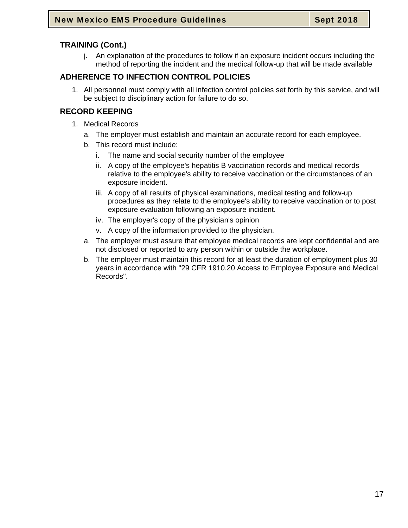## **TRAINING (Cont.)**

j. An explanation of the procedures to follow if an exposure incident occurs including the method of reporting the incident and the medical follow-up that will be made available

## **ADHERENCE TO INFECTION CONTROL POLICIES**

1. All personnel must comply with all infection control policies set forth by this service, and will be subject to disciplinary action for failure to do so.

## **RECORD KEEPING**

- 1. Medical Records
	- a. The employer must establish and maintain an accurate record for each employee.
	- b. This record must include:
		- i. The name and social security number of the employee
		- ii. A copy of the employee's hepatitis B vaccination records and medical records relative to the employee's ability to receive vaccination or the circumstances of an exposure incident.
		- iii. A copy of all results of physical examinations, medical testing and follow-up procedures as they relate to the employee's ability to receive vaccination or to post exposure evaluation following an exposure incident.
		- iv. The employer's copy of the physician's opinion
		- v. A copy of the information provided to the physician.
	- a. The employer must assure that employee medical records are kept confidential and are not disclosed or reported to any person within or outside the workplace.
	- b. The employer must maintain this record for at least the duration of employment plus 30 years in accordance with "29 CFR 1910.20 Access to Employee Exposure and Medical Records".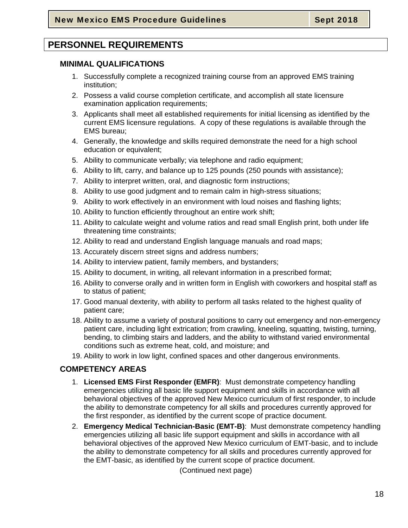# **PERSONNEL REQUIREMENTS**

### **MINIMAL QUALIFICATIONS**

- 1. Successfully complete a recognized training course from an approved EMS training institution;
- 2. Possess a valid course completion certificate, and accomplish all state licensure examination application requirements;
- 3. Applicants shall meet all established requirements for initial licensing as identified by the current EMS licensure regulations. A copy of these regulations is available through the EMS bureau;
- 4. Generally, the knowledge and skills required demonstrate the need for a high school education or equivalent;
- 5. Ability to communicate verbally; via telephone and radio equipment;
- 6. Ability to lift, carry, and balance up to 125 pounds (250 pounds with assistance);
- 7. Ability to interpret written, oral, and diagnostic form instructions;
- 8. Ability to use good judgment and to remain calm in high-stress situations;
- 9. Ability to work effectively in an environment with loud noises and flashing lights;
- 10. Ability to function efficiently throughout an entire work shift;
- 11. Ability to calculate weight and volume ratios and read small English print, both under life threatening time constraints;
- 12. Ability to read and understand English language manuals and road maps;
- 13. Accurately discern street signs and address numbers;
- 14. Ability to interview patient, family members, and bystanders;
- 15. Ability to document, in writing, all relevant information in a prescribed format;
- 16. Ability to converse orally and in written form in English with coworkers and hospital staff as to status of patient;
- 17. Good manual dexterity, with ability to perform all tasks related to the highest quality of patient care;
- 18. Ability to assume a variety of postural positions to carry out emergency and non-emergency patient care, including light extrication; from crawling, kneeling, squatting, twisting, turning, bending, to climbing stairs and ladders, and the ability to withstand varied environmental conditions such as extreme heat, cold, and moisture; and
- 19. Ability to work in low light, confined spaces and other dangerous environments.

### **COMPETENCY AREAS**

- 1. **Licensed EMS First Responder (EMFR)**: Must demonstrate competency handling emergencies utilizing all basic life support equipment and skills in accordance with all behavioral objectives of the approved New Mexico curriculum of first responder, to include the ability to demonstrate competency for all skills and procedures currently approved for the first responder, as identified by the current scope of practice document.
- 2. **Emergency Medical Technician-Basic (EMT-B)**: Must demonstrate competency handling emergencies utilizing all basic life support equipment and skills in accordance with all behavioral objectives of the approved New Mexico curriculum of EMT-basic, and to include the ability to demonstrate competency for all skills and procedures currently approved for the EMT-basic, as identified by the current scope of practice document.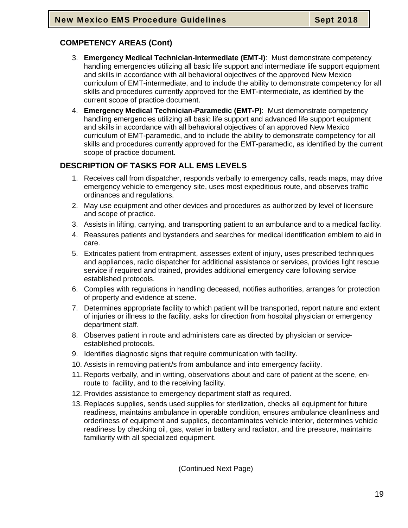## **COMPETENCY AREAS (Cont)**

- 3. **Emergency Medical Technician-Intermediate (EMT-I)**: Must demonstrate competency handling emergencies utilizing all basic life support and intermediate life support equipment and skills in accordance with all behavioral objectives of the approved New Mexico curriculum of EMT-intermediate, and to include the ability to demonstrate competency for all skills and procedures currently approved for the EMT-intermediate, as identified by the current scope of practice document.
- 4. **Emergency Medical Technician-Paramedic (EMT-P)**: Must demonstrate competency handling emergencies utilizing all basic life support and advanced life support equipment and skills in accordance with all behavioral objectives of an approved New Mexico curriculum of EMT-paramedic, and to include the ability to demonstrate competency for all skills and procedures currently approved for the EMT-paramedic, as identified by the current scope of practice document.

## **DESCRIPTION OF TASKS FOR ALL EMS LEVELS**

- 1. Receives call from dispatcher, responds verbally to emergency calls, reads maps, may drive emergency vehicle to emergency site, uses most expeditious route, and observes traffic ordinances and regulations.
- 2. May use equipment and other devices and procedures as authorized by level of licensure and scope of practice.
- 3. Assists in lifting, carrying, and transporting patient to an ambulance and to a medical facility.
- 4. Reassures patients and bystanders and searches for medical identification emblem to aid in care.
- 5. Extricates patient from entrapment, assesses extent of injury, uses prescribed techniques and appliances, radio dispatcher for additional assistance or services, provides light rescue service if required and trained, provides additional emergency care following service established protocols.
- 6. Complies with regulations in handling deceased, notifies authorities, arranges for protection of property and evidence at scene.
- 7. Determines appropriate facility to which patient will be transported, report nature and extent of injuries or illness to the facility, asks for direction from hospital physician or emergency department staff.
- 8. Observes patient in route and administers care as directed by physician or serviceestablished protocols.
- 9. Identifies diagnostic signs that require communication with facility.
- 10. Assists in removing patient/s from ambulance and into emergency facility.
- 11. Reports verbally, and in writing, observations about and care of patient at the scene, enroute to facility, and to the receiving facility.
- 12. Provides assistance to emergency department staff as required.
- 13. Replaces supplies, sends used supplies for sterilization, checks all equipment for future readiness, maintains ambulance in operable condition, ensures ambulance cleanliness and orderliness of equipment and supplies, decontaminates vehicle interior, determines vehicle readiness by checking oil, gas, water in battery and radiator, and tire pressure, maintains familiarity with all specialized equipment.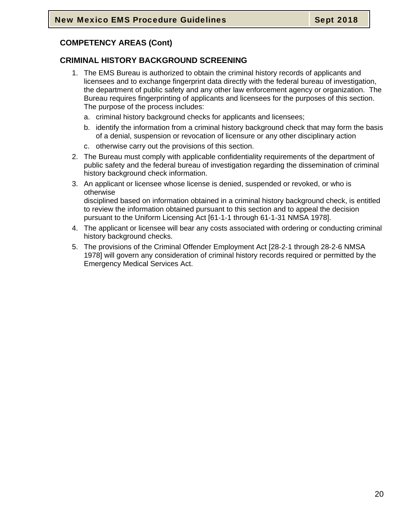## **COMPETENCY AREAS (Cont)**

## **CRIMINAL HISTORY BACKGROUND SCREENING**

- 1. The EMS Bureau is authorized to obtain the criminal history records of applicants and licensees and to exchange fingerprint data directly with the federal bureau of investigation, the department of public safety and any other law enforcement agency or organization. The Bureau requires fingerprinting of applicants and licensees for the purposes of this section. The purpose of the process includes:
	- a. criminal history background checks for applicants and licensees;
	- b. identify the information from a criminal history background check that may form the basis of a denial, suspension or revocation of licensure or any other disciplinary action
	- c. otherwise carry out the provisions of this section.
- 2. The Bureau must comply with applicable confidentiality requirements of the department of public safety and the federal bureau of investigation regarding the dissemination of criminal history background check information.
- 3. An applicant or licensee whose license is denied, suspended or revoked, or who is otherwise disciplined based on information obtained in a criminal history background check, is entitled to review the information obtained pursuant to this section and to appeal the decision pursuant to the Uniform Licensing Act [61‐1‐1 through 61‐1‐31 NMSA 1978].
- 4. The applicant or licensee will bear any costs associated with ordering or conducting criminal history background checks.
- 5. The provisions of the Criminal Offender Employment Act [28‐2‐1 through 28‐2‐6 NMSA 1978] will govern any consideration of criminal history records required or permitted by the Emergency Medical Services Act.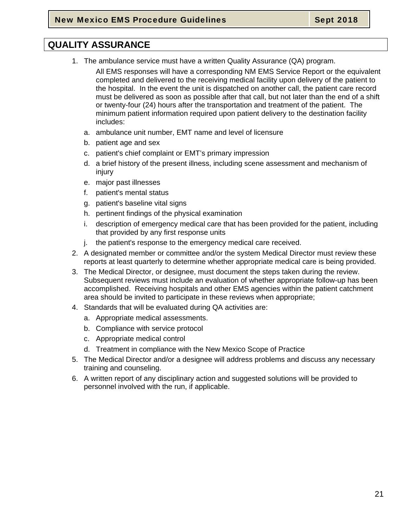# **QUALITY ASSURANCE**

1. The ambulance service must have a written Quality Assurance (QA) program.

All EMS responses will have a corresponding NM EMS Service Report or the equivalent completed and delivered to the receiving medical facility upon delivery of the patient to the hospital. In the event the unit is dispatched on another call, the patient care record must be delivered as soon as possible after that call, but not later than the end of a shift or twenty-four (24) hours after the transportation and treatment of the patient. The minimum patient information required upon patient delivery to the destination facility includes:

- a. ambulance unit number, EMT name and level of licensure
- b. patient age and sex
- c. patient's chief complaint or EMT's primary impression
- d. a brief history of the present illness, including scene assessment and mechanism of injury
- e. major past illnesses
- f. patient's mental status
- g. patient's baseline vital signs
- h. pertinent findings of the physical examination
- i. description of emergency medical care that has been provided for the patient, including that provided by any first response units
- j. the patient's response to the emergency medical care received.
- 2. A designated member or committee and/or the system Medical Director must review these reports at least quarterly to determine whether appropriate medical care is being provided.
- 3. The Medical Director, or designee, must document the steps taken during the review. Subsequent reviews must include an evaluation of whether appropriate follow-up has been accomplished. Receiving hospitals and other EMS agencies within the patient catchment area should be invited to participate in these reviews when appropriate;
- 4. Standards that will be evaluated during QA activities are:
	- a. Appropriate medical assessments.
	- b. Compliance with service protocol
	- c. Appropriate medical control
	- d. Treatment in compliance with the New Mexico Scope of Practice
- 5. The Medical Director and/or a designee will address problems and discuss any necessary training and counseling.
- 6. A written report of any disciplinary action and suggested solutions will be provided to personnel involved with the run, if applicable.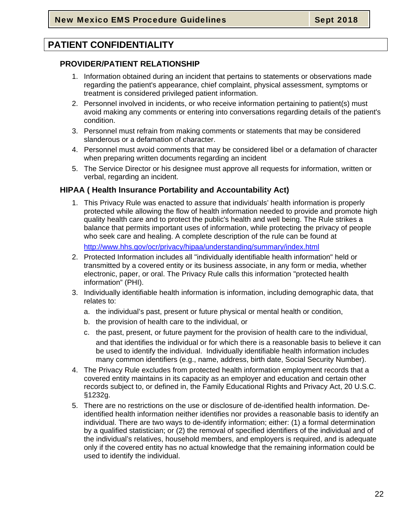## **PATIENT CONFIDENTIALITY**

#### **PROVIDER/PATIENT RELATIONSHIP**

- 1. Information obtained during an incident that pertains to statements or observations made regarding the patient's appearance, chief complaint, physical assessment, symptoms or treatment is considered privileged patient information.
- 2. Personnel involved in incidents, or who receive information pertaining to patient(s) must avoid making any comments or entering into conversations regarding details of the patient's condition.
- 3. Personnel must refrain from making comments or statements that may be considered slanderous or a defamation of character.
- 4. Personnel must avoid comments that may be considered libel or a defamation of character when preparing written documents regarding an incident
- 5. The Service Director or his designee must approve all requests for information, written or verbal, regarding an incident.

### **HIPAA ( Health Insurance Portability and Accountability Act)**

1. This Privacy Rule was enacted to assure that individuals' health information is properly protected while allowing the flow of health information needed to provide and promote high quality health care and to protect the public's health and well being. The Rule strikes a balance that permits important uses of information, while protecting the privacy of people who seek care and healing. A complete description of the rule can be found at

http://www.hhs.gov/ocr/privacy/hipaa/understanding/summary/index.html

- 2. Protected Information includes all "individually identifiable health information" held or transmitted by a covered entity or its business associate, in any form or media, whether electronic, paper, or oral. The Privacy Rule calls this information "protected health information" (PHI).
- 3. Individually identifiable health information is information, including demographic data, that relates to:
	- a. the individual's past, present or future physical or mental health or condition,
	- b. the provision of health care to the individual, or
	- c. the past, present, or future payment for the provision of health care to the individual, and that identifies the individual or for which there is a reasonable basis to believe it can be used to identify the individual. Individually identifiable health information includes many common identifiers (e.g., name, address, birth date, Social Security Number).
- 4. The Privacy Rule excludes from protected health information employment records that a covered entity maintains in its capacity as an employer and education and certain other records subject to, or defined in, the Family Educational Rights and Privacy Act, 20 U.S.C. §1232g.
- 5. There are no restrictions on the use or disclosure of de-identified health information. Deidentified health information neither identifies nor provides a reasonable basis to identify an individual. There are two ways to de-identify information; either: (1) a formal determination by a qualified statistician; or (2) the removal of specified identifiers of the individual and of the individual's relatives, household members, and employers is required, and is adequate only if the covered entity has no actual knowledge that the remaining information could be used to identify the individual.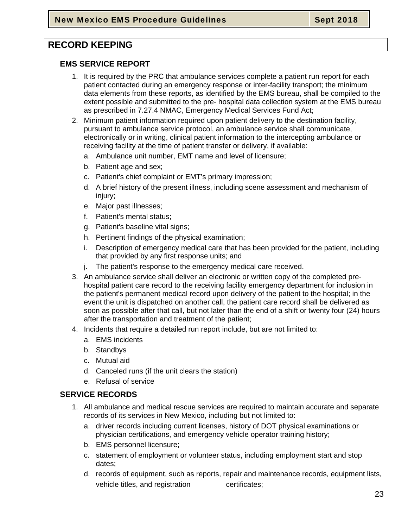## **RECORD KEEPING**

#### **EMS SERVICE REPORT**

- 1. It is required by the PRC that ambulance services complete a patient run report for each patient contacted during an emergency response or inter-facility transport; the minimum data elements from these reports, as identified by the EMS bureau, shall be compiled to the extent possible and submitted to the pre- hospital data collection system at the EMS bureau as prescribed in 7.27.4 NMAC, Emergency Medical Services Fund Act;
- 2. Minimum patient information required upon patient delivery to the destination facility, pursuant to ambulance service protocol, an ambulance service shall communicate, electronically or in writing, clinical patient information to the intercepting ambulance or receiving facility at the time of patient transfer or delivery, if available:
	- a. Ambulance unit number, EMT name and level of licensure;
	- b. Patient age and sex;
	- c. Patient's chief complaint or EMT's primary impression;
	- d. A brief history of the present illness, including scene assessment and mechanism of injury;
	- e. Major past illnesses;
	- f. Patient's mental status;
	- g. Patient's baseline vital signs;
	- h. Pertinent findings of the physical examination;
	- i. Description of emergency medical care that has been provided for the patient, including that provided by any first response units; and
	- j. The patient's response to the emergency medical care received.
- 3. An ambulance service shall deliver an electronic or written copy of the completed prehospital patient care record to the receiving facility emergency department for inclusion in the patient's permanent medical record upon delivery of the patient to the hospital; in the event the unit is dispatched on another call, the patient care record shall be delivered as soon as possible after that call, but not later than the end of a shift or twenty four (24) hours after the transportation and treatment of the patient;
- 4. Incidents that require a detailed run report include, but are not limited to:
	- a. EMS incidents
	- b. Standbys
	- c. Mutual aid
	- d. Canceled runs (if the unit clears the station)
	- e. Refusal of service

#### **SERVICE RECORDS**

- 1. All ambulance and medical rescue services are required to maintain accurate and separate records of its services in New Mexico, including but not limited to:
	- a. driver records including current licenses, history of DOT physical examinations or physician certifications, and emergency vehicle operator training history;
	- b. EMS personnel licensure;
	- c. statement of employment or volunteer status, including employment start and stop dates;
	- d. records of equipment, such as reports, repair and maintenance records, equipment lists, vehicle titles, and registration certificates;